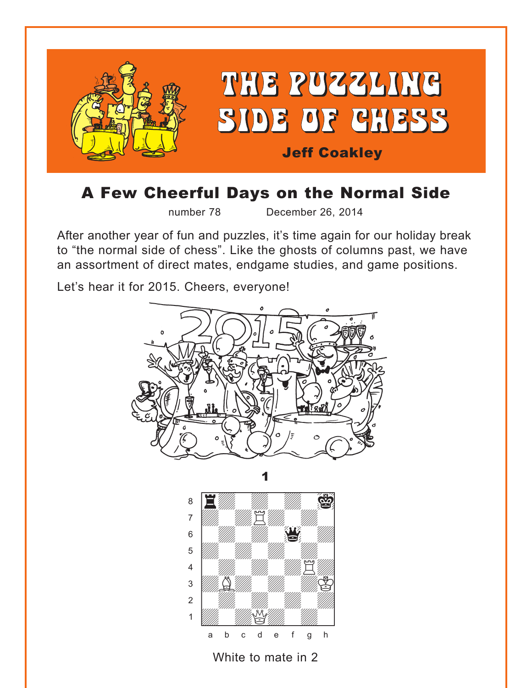<span id="page-0-0"></span>

## A Few Cheerful Days on the Normal Side

number 78 December 26, 2014

After another year of fun and puzzles, it's time again for our holiday break to "the normal side of chess". Like the ghosts of columns past, we have an assortment of direct mates, endgame studies, and game positions.

Let's hear it for 2015. Cheers, everyone!





White to mate in 2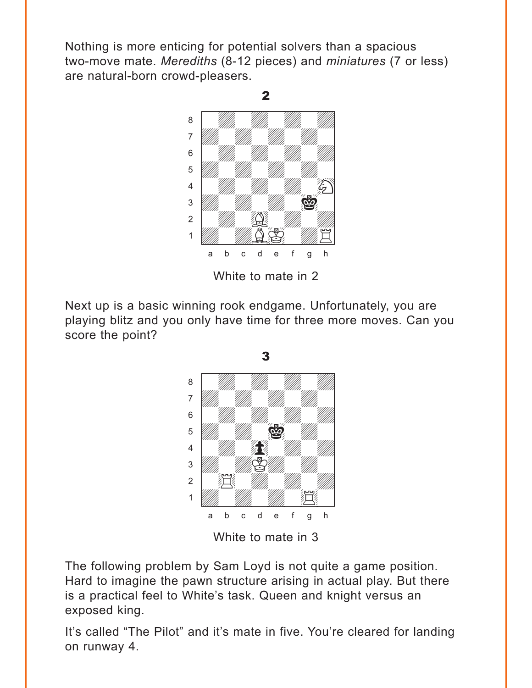<span id="page-1-0"></span>Nothing is more enticing for potential solvers than a spacious two-move mate. *Merediths* (8-12 pieces) and *miniatures* (7 or less) are natural-born crowd-pleasers.

2



White to mate in 2

Next up is a basic winning rook endgame. Unfortunately, you are playing blitz and you only have time for three more moves. Can you score the point?



The following problem by Sam Loyd is not quite a game position. Hard to imagine the pawn structure arising in actual play. But there is a practical feel to White's task. Queen and knight versus an exposed king.

It's called "The Pilot" and it's mate in five. You're cleared for landing on runway 4.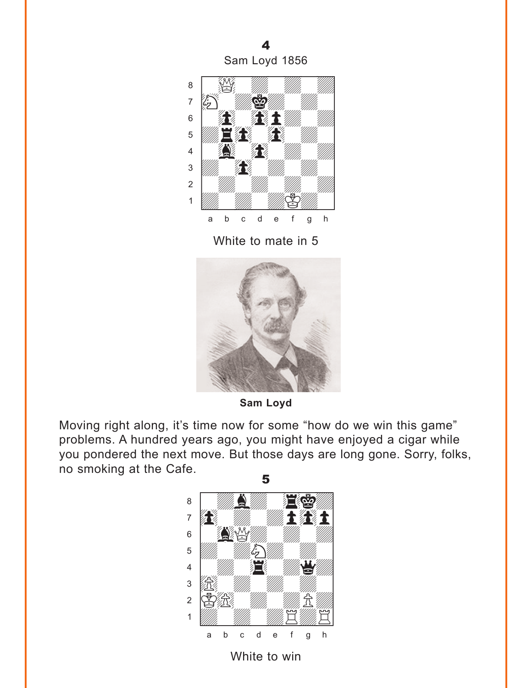<span id="page-2-0"></span>[4](#page-7-0)







**Sam Loyd**

Moving right along, it's time now for some "how do we win this game" problems. A hundred years ago, you might have enjoyed a cigar while you pondered the next move. But those days are long gone. Sorry, folks, no smoking at the Cafe.

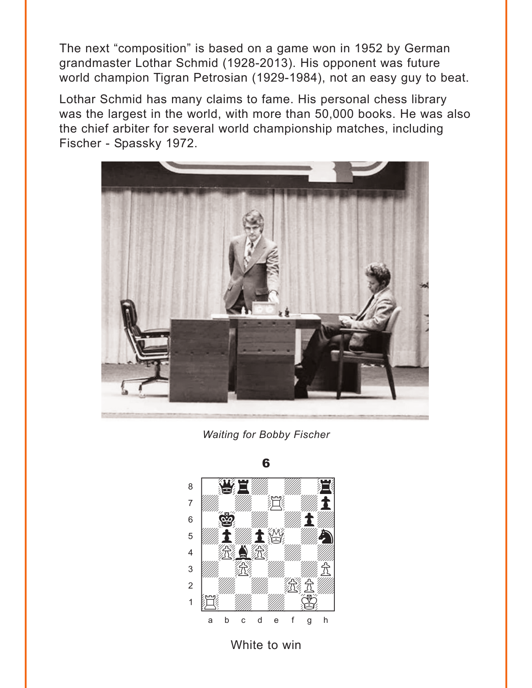<span id="page-3-0"></span>The next "composition" is based on a game won in 1952 by German grandmaster Lothar Schmid (1928-2013). His opponent was future world champion Tigran Petrosian (1929-1984), not an easy guy to beat.

Lothar Schmid has many claims to fame. His personal chess library was the largest in the world, with more than 50,000 books. He was also the chief arbiter for several world championship matches, including Fischer - Spassky 1972.



**Waiting for Bobby Fischer** 



White to win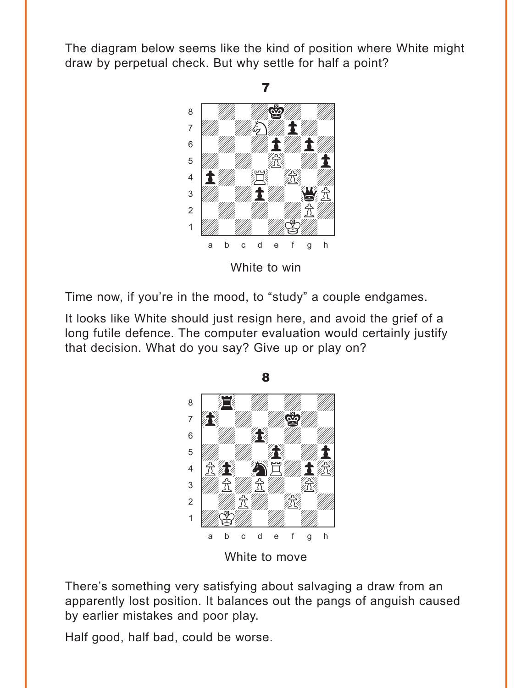<span id="page-4-0"></span>The diagram below seems like the kind of position where White might draw by perpetual check. But why settle for half a point?



Time now, if you're in the mood, to "study" a couple endgames.

It looks like White should just resign here, and avoid the grief of a long futile defence. The computer evaluation would certainly justify that decision. What do you say? Give up or play on?



There's something very satisfying about salvaging a draw from an apparently lost position. It balances out the pangs of anguish caused by earlier mistakes and poor play.

Half good, half bad, could be worse.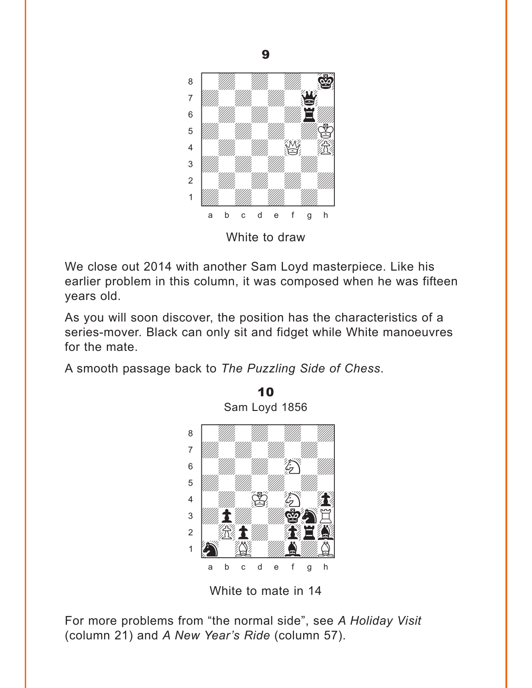<span id="page-5-0"></span>

We close out 2014 with another Sam Loyd masterpiece. Like his earlier problem in this column, it was composed when he was fifteen years old.

As you will soon discover, the position has the characteristics of a series-mover. Black can only sit and fidget while White manoeuvres for the mate.

A smooth passage back to *The Puzzling Side of Chess*.



[10](#page-17-0) Sam Loyd 1856  $\frac{640}{2}$  bank Ebya 1000

White to mate in 14

For more problems from "the normal side", see *A Holiday Visit* (column 21) and *A New Year's Ride* (column 57).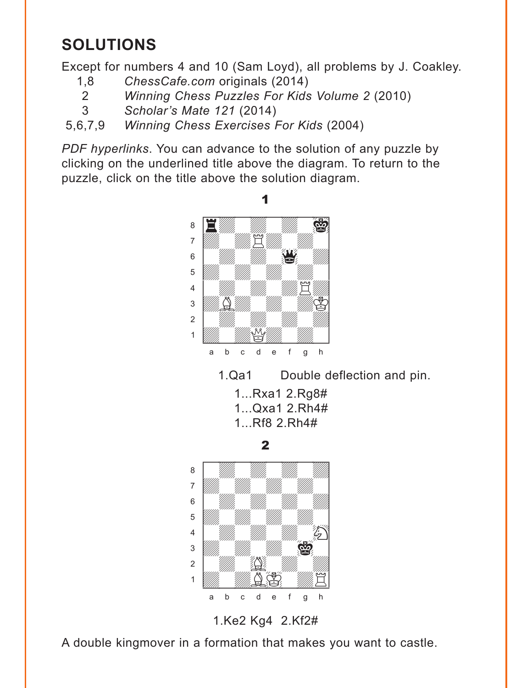# <span id="page-6-0"></span>**SOLUTIONS**

Except for numbers 4 and 10 (Sam Loyd), all problems by J. Coakley.

- 1,8 *ChessCafe.com* originals (2014)
- 2 *Winning Chess Puzzles For Kids Volume 2* (2010)
- 3 *Scholar's Mate 121* (2014)
- 5,6,7,9 *Winning Chess Exercises For Kids* (2004)

*PDF hyperlinks*. You can advance to the solution of any puzzle by clicking on the underlined title above the diagram. To return to the puzzle, click on the title above the solution diagram.



A double kingmover in a formation that makes you want to castle.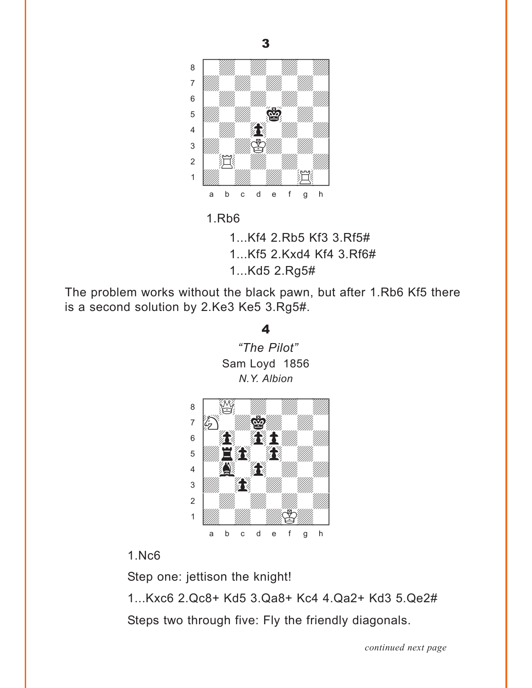<span id="page-7-0"></span>

3

1.Rb6

1...Kf4 2.Rb5 Kf3 3.Rf5# 1...Kf5 2.Kxd4 Kf4 3.Rf6# 1...Kd5 2.Rg5#

The problem works without the black pawn, but after 1.Rb6 Kf5 there is a second solution by 2.Ke3 Ke5 3.Rg5#.

#### [4](#page-2-0)

*"The Pilot"* Sam Loyd 1856 *N.Y. Albion*



#### 1.Nc6

Step one: jettison the knight!

1...Kxc6 2.Qc8+ Kd5 3.Qa8+ Kc4 4.Qa2+ Kd3 5.Qe2# Steps two through five: Fly the friendly diagonals.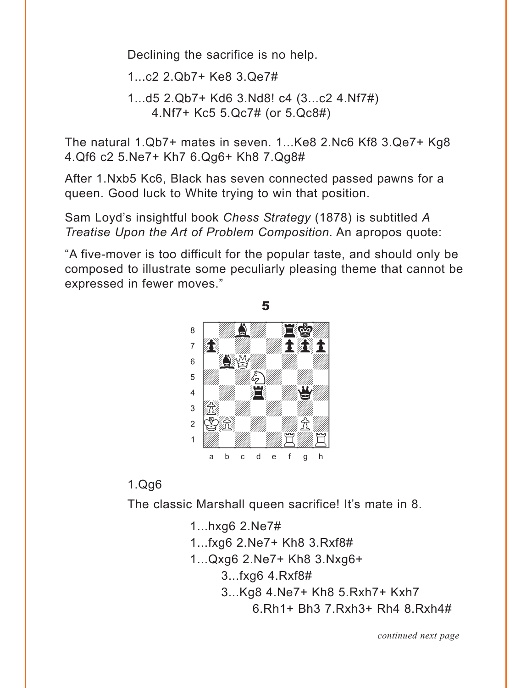<span id="page-8-0"></span>Declining the sacrifice is no help.

1...c2 2.Qb7+ Ke8 3.Qe7#

1...d5 2.Qb7+ Kd6 3.Nd8! c4 (3...c2 4.Nf7#) 4.Nf7+ Kc5 5.Qc7# (or 5.Qc8#)

The natural 1.Qb7+ mates in seven. 1...Ke8 2.Nc6 Kf8 3.Qe7+ Kg8 4.Qf6 c2 5.Ne7+ Kh7 6.Qg6+ Kh8 7.Qg8#

After 1.Nxb5 Kc6, Black has seven connected passed pawns for a queen. Good luck to White trying to win that position.

Sam Loyd's insightful book *Chess Strategy* (1878) is subtitled *A Treatise Upon the Art of Problem Composition*. An apropos quote:

"A five-mover is too difficult for the popular taste, and should only be composed to illustrate some peculiarly pleasing theme that cannot be expressed in fewer moves."



### 1.Qg6

The classic Marshall queen sacrifice! It's mate in 8.

1...hxg6 2.Ne7# 1...fxg6 2.Ne7+ Kh8 3.Rxf8# 1...Qxg6 2.Ne7+ Kh8 3.Nxg6+ 3...fxg6 4.Rxf8# 3...Kg8 4.Ne7+ Kh8 5.Rxh7+ Kxh7 6.Rh1+ Bh3 7.Rxh3+ Rh4 8.Rxh4#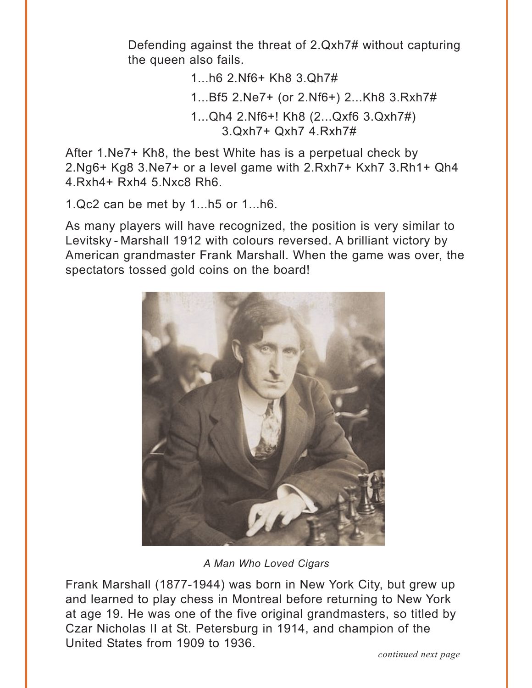Defending against the threat of 2.Qxh7# without capturing the queen also fails.

> 1...h6 2.Nf6+ Kh8 3.Qh7# 1...Bf5 2.Ne7+ (or 2.Nf6+) 2...Kh8 3.Rxh7# 1...Qh4 2.Nf6+! Kh8 (2...Qxf6 3.Qxh7#) 3.Qxh7+ Qxh7 4.Rxh7#

After 1.Ne7+ Kh8, the best White has is a perpetual check by 2.Ng6+ Kg8 3.Ne7+ or a level game with 2.Rxh7+ Kxh7 3.Rh1+ Qh4 4.Rxh4+ Rxh4 5.Nxc8 Rh6.

1.Qc2 can be met by 1...h5 or 1...h6.

As many players will have recognized, the position is very similar to Levitsky - Marshall 1912 with colours reversed. A brilliant victory by American grandmaster Frank Marshall. When the game was over, the spectators tossed gold coins on the board!



*A Man Who Loved Cigars*

Frank Marshall (1877-1944) was born in New York City, but grew up and learned to play chess in Montreal before returning to New York at age 19. He was one of the five original grandmasters, so titled by Czar Nicholas II at St. Petersburg in 1914, and champion of the United States from 1909 to 1936.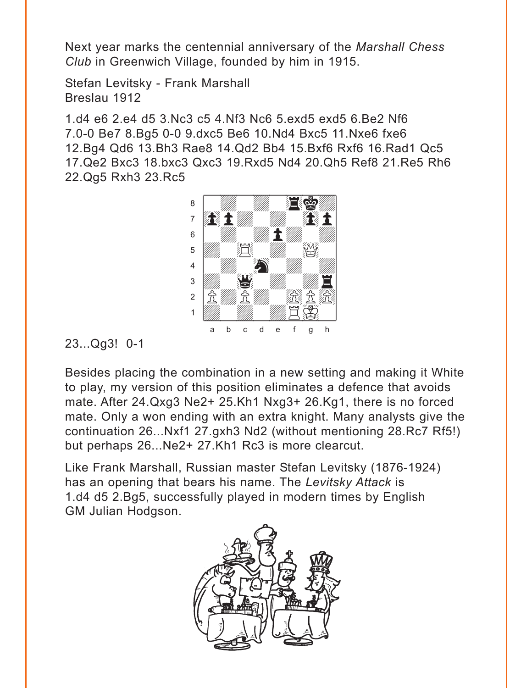Next year marks the centennial anniversary of the *Marshall Chess Club* in Greenwich Village, founded by him in 1915.

Stefan Levitsky - Frank Marshall Breslau 1912

1.d4 e6 2.e4 d5 3.Nc3 c5 4.Nf3 Nc6 5.exd5 exd5 6.Be2 Nf6 7.0-0 Be7 8.Bg5 0-0 9.dxc5 Be6 10.Nd4 Bxc5 11.Nxe6 fxe6 12.Bg4 Qd6 13.Bh3 Rae8 14.Qd2 Bb4 15.Bxf6 Rxf6 16.Rad1 Qc5 17.Qe2 Bxc3 18.bxc3 Qxc3 19.Rxd5 Nd4 20.Qh5 Ref8 21.Re5 Rh6 22.Qg5 Rxh3 23.Rc5



#### 23...Qg3! 0-1

Besides placing the combination in a new setting and making it White to play, my version of this position eliminates a defence that avoids mate. After 24.Qxg3 Ne2+ 25.Kh1 Nxg3+ 26.Kg1, there is no forced mate. Only a won ending with an extra knight. Many analysts give the continuation 26...Nxf1 27.gxh3 Nd2 (without mentioning 28.Rc7 Rf5!) but perhaps 26...Ne2+ 27.Kh1 Rc3 is more clearcut.

Like Frank Marshall, Russian master Stefan Levitsky (1876-1924) has an opening that bears his name. The *Levitsky Attack* is 1.d4 d5 2.Bg5, successfully played in modern times by English GM Julian Hodgson.

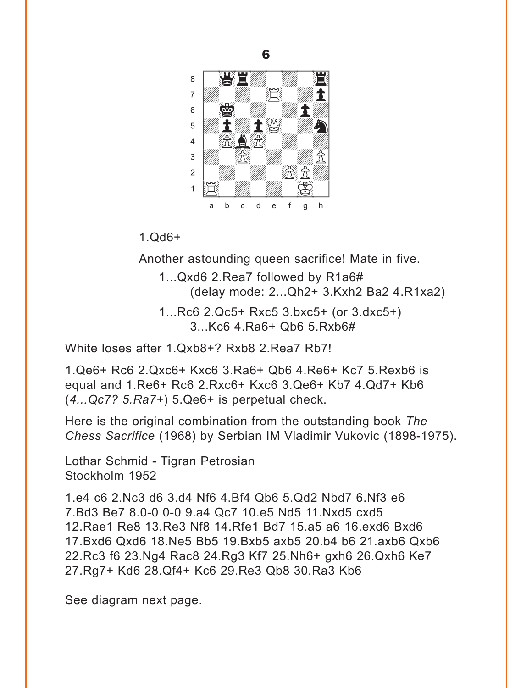<span id="page-11-0"></span>

1.Qd6+

Another astounding queen sacrifice! Mate in five.

1...Qxd6 2.Rea7 followed by R1a6# (delay mode: 2...Qh2+ 3.Kxh2 Ba2 4.R1xa2)

1...Rc6 2.Qc5+ Rxc5 3.bxc5+ (or 3.dxc5+) 3...Kc6 4.Ra6+ Qb6 5.Rxb6#

White loses after 1.Qxb8+? Rxb8 2.Rea7 Rb7!

1.Qe6+ Rc6 2.Qxc6+ Kxc6 3.Ra6+ Qb6 4.Re6+ Kc7 5.Rexb6 is equal and 1.Re6+ Rc6 2.Rxc6+ Kxc6 3.Qe6+ Kb7 4.Qd7+ Kb6 (*4...Qc7? 5.Ra7+*) 5.Qe6+ is perpetual check.

Here is the original combination from the outstanding book *The Chess Sacrifice* (1968) by Serbian IM Vladimir Vukovic (1898-1975).

Lothar Schmid - Tigran Petrosian Stockholm 1952

1.e4 c6 2.Nc3 d6 3.d4 Nf6 4.Bf4 Qb6 5.Qd2 Nbd7 6.Nf3 e6 7.Bd3 Be7 8.0-0 0-0 9.a4 Qc7 10.e5 Nd5 11.Nxd5 cxd5 12.Rae1 Re8 13.Re3 Nf8 14.Rfe1 Bd7 15.a5 a6 16.exd6 Bxd6 17.Bxd6 Qxd6 18.Ne5 Bb5 19.Bxb5 axb5 20.b4 b6 21.axb6 Qxb6 22.Rc3 f6 23.Ng4 Rac8 24.Rg3 Kf7 25.Nh6+ gxh6 26.Qxh6 Ke7 27.Rg7+ Kd6 28.Qf4+ Kc6 29.Re3 Qb8 30.Ra3 Kb6

See diagram next page.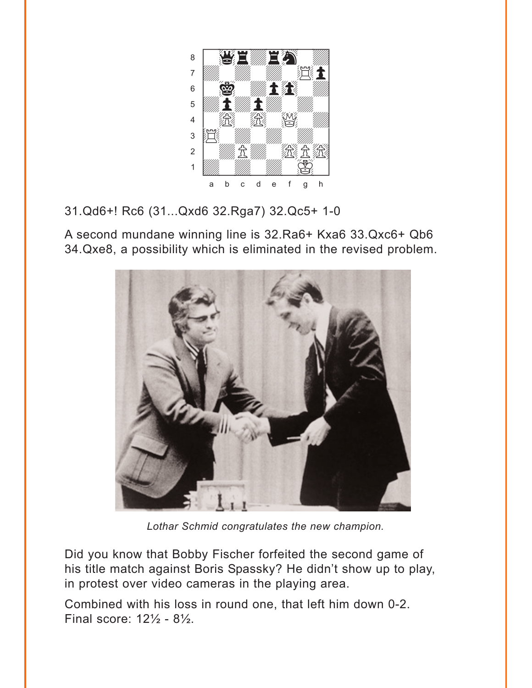

31.Qd6+! Rc6 (31...Qxd6 32.Rga7) 32.Qc5+ 1-0

A second mundane winning line is 32. Ra6+ Kxa6 33. Qxc6+ Qb6 34. Qxe8, a possibility which is eliminated in the revised problem.



Lothar Schmid congratulates the new champion.

Did you know that Bobby Fischer forfeited the second game of his title match against Boris Spassky? He didn't show up to play, in protest over video cameras in the playing area.

Combined with his loss in round one, that left him down 0-2. Final score:  $12\frac{1}{2} - 8\frac{1}{2}$ .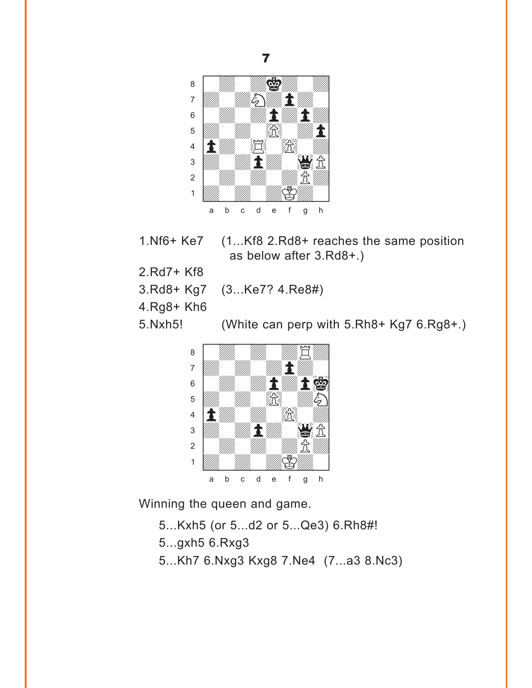<span id="page-13-0"></span>

 $\overline{\mathbf{r}}$ 

1.Nf6+ Ke7 (1...Kf8 2.Rd8+ reaches the same position as below after 3.Rd8+.)

- 2.Rd7+Kf8
- 3.Rd8+ Kg7  $(3...$ Ke7?  $4$ .Re8#)
- 4.Rg8+ Kh6
- 5.Nxh5!

(White can perp with 5.Rh8+ Kg7 6.Rg8+.)



Winning the queen and game.

- 5...Kxh5 (or 5...d2 or 5...Qe3) 6.Rh8#!
- 5...gxh5 6.Rxg3
- 5...Kh7 6.Nxg3 Kxg8 7.Ne4 (7...a3 8.Nc3)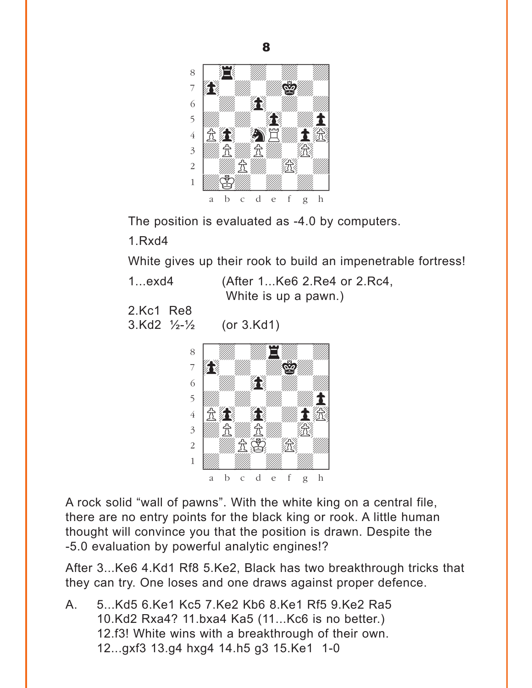<span id="page-14-0"></span>

The position is evaluated as -4.0 by computers.

1.Rxd4

White gives up their rook to build an impenetrable fortress!

| 1exd4 | (After $1$ Ke <sub>6</sub> 2.Re4 or $2$ .Rc4, |
|-------|-----------------------------------------------|
|       | White is up a pawn.)                          |

2.Kc1 Re8

3.Kd2  $\frac{1}{2}$  (or 3.Kd1)



A rock solid "wall of pawns". With the white king on a central file, there are no entry points for the black king or rook. A little human thought will convince you that the position is drawn. Despite the -5.0 evaluation by powerful analytic engines!?

After 3...Ke6 4.Kd1 Rf8 5.Ke2, Black has two breakthrough tricks that they can try. One loses and one draws against proper defence.

A. 5...Kd5 6.Ke1 Kc5 7.Ke2 Kb6 8.Ke1 Rf5 9.Ke2 Ra5 10.Kd2 Rxa4? 11.bxa4 Ka5 (11...Kc6 is no better.) 12.f3! White wins with a breakthrough of their own. 12...gxf3 13.g4 hxg4 14.h5 g3 15.Ke1 1-0

8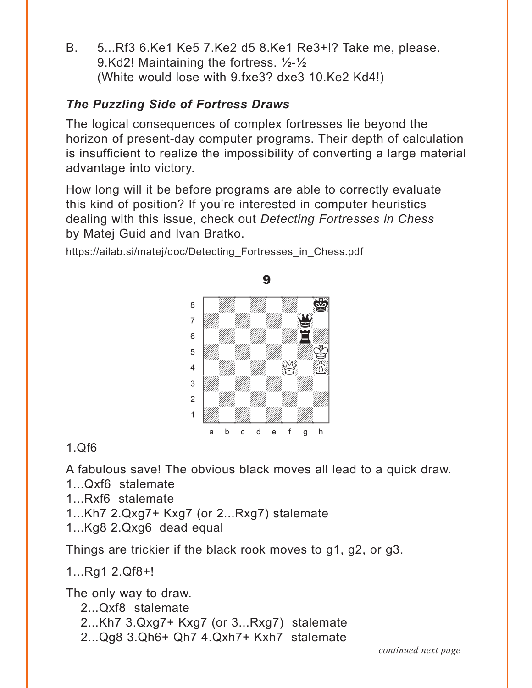<span id="page-15-0"></span>B. 5...Rf3 6.Ke1 Ke5 7.Ke2 d5 8.Ke1 Re3+!? Take me, please. 9.Kd2! Maintaining the fortress. ½-½ (White would lose with 9.fxe3? dxe3 10.Ke2 Kd4!)

### *The Puzzling Side of Fortress Draws*

The logical consequences of complex fortresses lie beyond the horizon of present-day computer programs. Their depth of calculation is insufficient to realize the impossibility of converting a large material advantage into victory.

How long will it be before programs are able to correctly evaluate this kind of position? If you're interested in computer heuristics dealing with this issue, check out *Detecting Fortresses in Chess*  by Matej Guid and Ivan Bratko.



https://ailab.si/matej/doc/Detecting\_Fortresses\_in\_Chess.pdf

### 1.Qf6

A fabulous save! The obvious black moves all lead to a quick draw.

1...Qxf6 stalemate

1...Rxf6 stalemate

1...Kh7 2.Qxg7+ Kxg7 (or 2...Rxg7) stalemate

1...Kg8 2.Qxg6 dead equal

Things are trickier if the black rook moves to g1, g2, or g3.

1...Rg1 2.Qf8+!

The only way to draw.

- 2...Qxf8 stalemate
- 2...Kh7 3.Qxg7+ Kxg7 (or 3...Rxg7) stalemate
- 2...Qg8 3.Qh6+ Qh7 4.Qxh7+ Kxh7 stalemate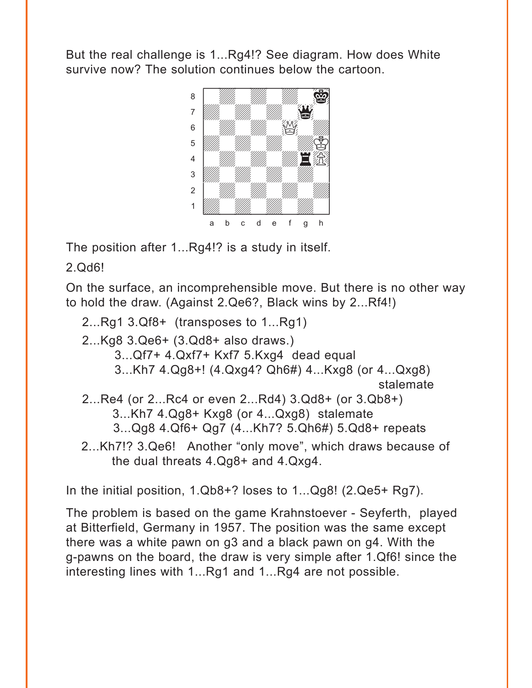But the real challenge is 1...Rg4!? See diagram. How does White survive now? The solution continues below the cartoon.



The position after 1...Rg4!? is a study in itself.

2.Qd6!

On the surface, an incomprehensible move. But there is no other way to hold the draw. (Against 2.Qe6?, Black wins by 2...Rf4!)

2...Rg1 3.Qf8+ (transposes to 1...Rg1) 2...Kg8 3.Qe6+ (3.Qd8+ also draws.) 3...Qf7+ 4.Qxf7+ Kxf7 5.Kxg4 dead equal 3...Kh7 4.Qg8+! (4.Qxg4? Qh6#) 4...Kxg8 (or 4...Qxg8) stalemate 2...Re4 (or 2...Rc4 or even 2...Rd4) 3.Qd8+ (or 3.Qb8+) 3...Kh7 4.Qg8+ Kxg8 (or 4...Qxg8) stalemate 3...Qg8 4.Qf6+ Qg7 (4...Kh7? 5.Qh6#) 5.Qd8+ repeats 2...Kh7!? 3.Qe6! Another "only move", which draws because of the dual threats 4.Qg8+ and 4.Qxg4.

In the initial position, 1.Qb8+? loses to 1...Qg8! (2.Qe5+ Rg7).

The problem is based on the game Krahnstoever - Seyferth, played at Bitterfield, Germany in 1957. The position was the same except there was a white pawn on g3 and a black pawn on g4. With the g-pawns on the board, the draw is very simple after 1.Qf6! since the interesting lines with 1...Rg1 and 1...Rg4 are not possible.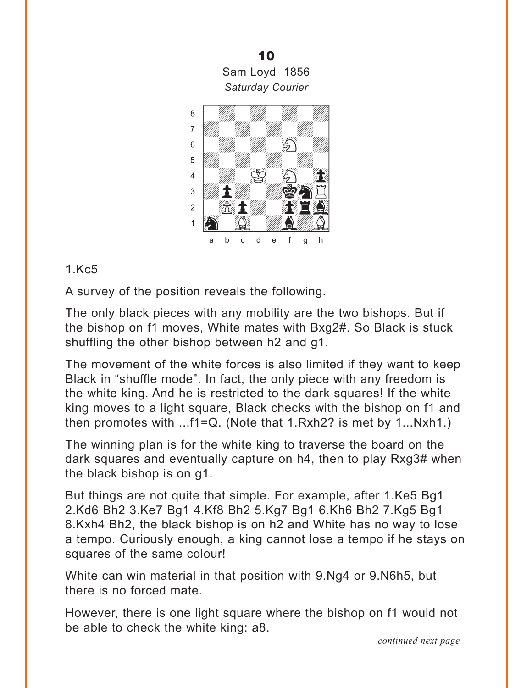<span id="page-17-0"></span>

### 1.Kc5

A survey of the position reveals the following.

The only black pieces with any mobility are the two bishops. But if the bishop on f1 moves, White mates with Bxg2#. So Black is stuck shuffling the other bishop between h2 and g1.

The movement of the white forces is also limited if they want to keep Black in "shuffle mode". In fact, the only piece with any freedom is the white king. And he is restricted to the dark squares! If the white king moves to a light square, Black checks with the bishop on f1 and then promotes with ...f1=Q. (Note that 1.Rxh2? is met by 1...Nxh1.)

The winning plan is for the white king to traverse the board on the dark squares and eventually capture on h4, then to play Rxg3# when the black bishop is on g1.

But things are not quite that simple. For example, after 1.Ke5 Bg1 2.Kd6 Bh2 3.Ke7 Bg1 4.Kf8 Bh2 5.Kg7 Bg1 6.Kh6 Bh2 7.Kg5 Bg1 8.Kxh4 Bh2, the black bishop is on h2 and White has no way to lose a tempo. Curiously enough, a king cannot lose a tempo if he stays on squares of the same colour!

White can win material in that position with 9.Ng4 or 9.N6h5, but there is no forced mate.

However, there is one light square where the bishop on f1 would not be able to check the white king: a8.